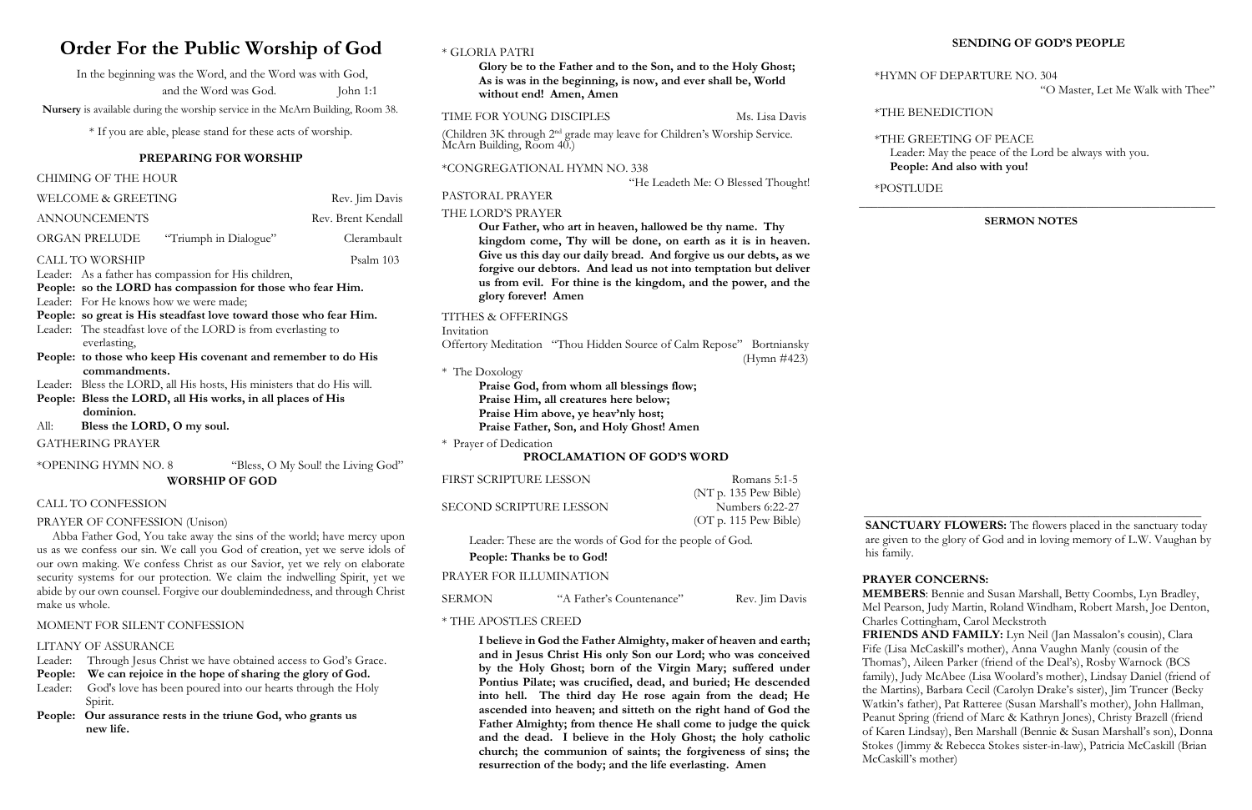# **Order For the Public Worship of God**

In the beginning was the Word, and the Word was with God, and the Word was God. John 1:1

 **Nursery** is available during the worship service in the McArn Building, Room 38.

\* If you are able, please stand for these acts of worship.

### **PREPARING FOR WORSHIP**

### CHIMING OF THE HOUR

| <b>WELCOME &amp; GREETING</b>                                     | Rev. Jim Davis                                                         |                    |  |
|-------------------------------------------------------------------|------------------------------------------------------------------------|--------------------|--|
| <b>ANNOUNCEMENTS</b>                                              |                                                                        | Rev. Brent Kendall |  |
| ORGAN PRELUDE                                                     | "Triumph in Dialogue"                                                  | Clerambault        |  |
| <b>CALL TO WORSHIP</b>                                            |                                                                        | Psalm 103          |  |
|                                                                   | Leader: As a father has compassion for His children,                   |                    |  |
|                                                                   | People: so the LORD has compassion for those who fear Him.             |                    |  |
|                                                                   | Leader: For He knows how we were made;                                 |                    |  |
| People: so great is His steadfast love toward those who fear Him. |                                                                        |                    |  |
|                                                                   | Leader: The steadfast love of the LORD is from everlasting to          |                    |  |
|                                                                   | everlasting,                                                           |                    |  |
|                                                                   | People: to those who keep His covenant and remember to do His          |                    |  |
|                                                                   | commandments.                                                          |                    |  |
|                                                                   | Leader: Bless the LORD, all His hosts, His ministers that do His will. |                    |  |
|                                                                   | People: Bless the LORD, all His works, in all places of His            |                    |  |

- **dominion.**
- All: **Bless the LORD, O my soul.**

GATHERING PRAYER

(Children 3K through 2nd grade may leave for Children's Worship Service.  $McArn$  Building, Room 40.)

\*OPENING HYMN NO. 8 "Bless, O My Soul! the Living God"

### **WORSHIP OF GOD**

### CALL TO CONFESSION

### PRAYER OF CONFESSION (Unison)

Abba Father God, You take away the sins of the world; have mercy upon us as we confess our sin. We call you God of creation, yet we serve idols of our own making. We confess Christ as our Savior, yet we rely on elaborate security systems for our protection. We claim the indwelling Spirit, yet we abide by our own counsel. Forgive our doublemindedness, and through Christ make us whole.

### MOMENT FOR SILENT CONFESSION

### LITANY OF ASSURANCE

|  |  |  |  | Leader: Through Jesus Christ we have obtained access to God's Grace. |
|--|--|--|--|----------------------------------------------------------------------|
|--|--|--|--|----------------------------------------------------------------------|

**People: We can rejoice in the hope of sharing the glory of God.** 

- Leader: God's love has been poured into our hearts through the Holy Spirit.
- **People: Our assurance rests in the triune God, who grants us new life.**

### \* GLORIA PATRI

**Glory be to the Father and to the Son, and to the Holy Ghost; As is was in the beginning, is now, and ever shall be, World without end! Amen, Amen**

### TIME FOR YOUNG DISCIPLES Ms. Lisa Davis

**SANCTUARY FLOWERS:** The flowers placed in the sanctuary today are given to the glory of God and in loving memory of L.W. Vaughan by

### \*CONGREGATIONAL HYMN NO. 338

### "He Leadeth Me: O Blessed Thought!

PASTORAL PRAYER

### THE LORD'S PRAYER

**Our Father, who art in heaven, hallowed be thy name. Thy kingdom come, Thy will be done, on earth as it is in heaven. Give us this day our daily bread. And forgive us our debts, as we forgive our debtors. And lead us not into temptation but deliver us from evil. For thine is the kingdom, and the power, and the glory forever! Amen**

### TITHES & OFFERINGS

Invitation

Offertory Meditation "Thou Hidden Source of Calm Repose" Bortniansky (Hymn #423)

### \* The Doxology

**Praise God, from whom all blessings flow; Praise Him, all creatures here below; Praise Him above, ye heav'nly host; Praise Father, Son, and Holy Ghost! Amen**

|  | * Prayer of Dedication |
|--|------------------------|
|  |                        |

### **PROCLAMATION OF GOD'S WORD**

FIRST SCRIPTURE LESSON Romans 5:1-5

SECOND SCRIPTURE LESSON Numbers 6:22-27

 (NT p. 135 Pew Bible) (OT p. 115 Pew Bible)

Leader: These are the words of God for the people of God. **People: Thanks be to God!**

### PRAYER FOR ILLUMINATION

SERMON "A Father's Countenance" Rev. Jim Davis

\* THE APOSTLES CREED

**I believe in God the Father Almighty, maker of heaven and earth; and in Jesus Christ His only Son our Lord; who was conceived by the Holy Ghost; born of the Virgin Mary; suffered under Pontius Pilate; was crucified, dead, and buried; He descended into hell. The third day He rose again from the dead; He ascended into heaven; and sitteth on the right hand of God the Father Almighty; from thence He shall come to judge the quick and the dead. I believe in the Holy Ghost; the holy catholic church; the communion of saints; the forgiveness of sins; the resurrection of the body; and the life everlasting. Amen**

### **SENDING OF GOD'S PEOPLE**

 \*HYMN OF DEPARTURE NO. 304 "O Master, Let Me Walk with Thee"

\*THE BENEDICTION

\*THE GREETING OF PEACE Leader: May the peace of the Lord be always with you.  **People: And also with you!**

\*POSTLUDE \_\_\_**\_\_\_\_\_\_\_\_\_\_\_\_\_\_\_\_\_\_\_\_\_\_\_\_\_\_\_\_\_\_\_\_\_\_\_\_\_\_\_\_\_\_\_\_\_\_\_\_\_\_\_\_\_\_\_**

**SERMON NOTES**

# **\_\_\_\_\_\_\_\_\_\_\_\_\_\_\_\_\_\_\_\_\_\_\_\_\_\_\_\_\_\_\_\_\_\_\_\_\_\_\_\_\_\_\_\_\_\_\_\_\_\_\_\_\_\_\_\_\_\_\_\_** his family.

### **PRAYER CONCERNS:**

 **MEMBERS**: Bennie and Susan Marshall, Betty Coombs, Lyn Bradley, Mel Pearson, Judy Martin, Roland Windham, Robert Marsh, Joe Denton, Charles Cottingham, Carol Meckstroth  **FRIENDS AND FAMILY:** Lyn Neil (Jan Massalon's cousin), Clara

 Fife (Lisa McCaskill's mother), Anna Vaughn Manly (cousin of the Thomas'), Aileen Parker (friend of the Deal's), Rosby Warnock (BCS family), Judy McAbee (Lisa Woolard's mother), Lindsay Daniel (friend of the Martins), Barbara Cecil (Carolyn Drake's sister), Jim Truncer (Becky Watkin's father), Pat Ratteree (Susan Marshall's mother), John Hallman, Peanut Spring (friend of Marc & Kathryn Jones), Christy Brazell (friend of Karen Lindsay), Ben Marshall (Bennie & Susan Marshall's son), Donna Stokes (Jimmy & Rebecca Stokes sister-in-law), Patricia McCaskill (Brian McCaskill's mother)